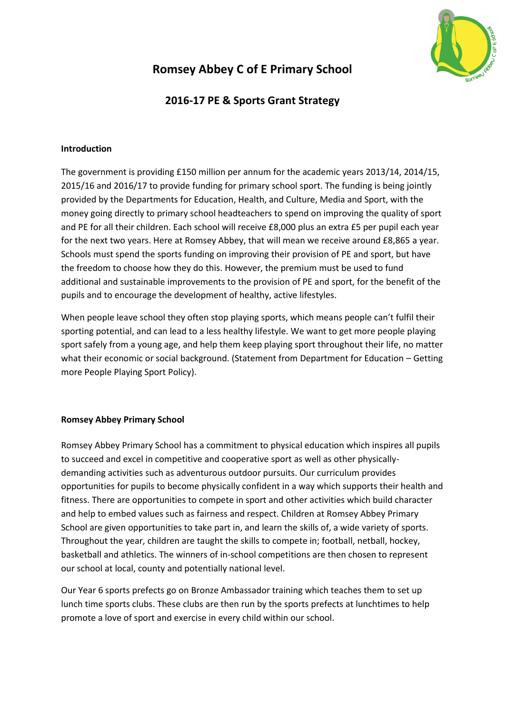

## **Romsey Abbey C of E Primary School**

### **2016-17 PE & Sports Grant Strategy**

#### **Introduction**

The government is providing £150 million per annum for the academic years 2013/14, 2014/15, 2015/16 and 2016/17 to provide funding for primary school sport. The funding is being jointly provided by the Departments for Education, Health, and Culture, Media and Sport, with the money going directly to primary school headteachers to spend on improving the quality of sport and PE for all their children. Each school will receive £8,000 plus an extra £5 per pupil each year for the next two years. Here at Romsey Abbey, that will mean we receive around £8,865 a year. Schools must spend the sports funding on improving their provision of PE and sport, but have the freedom to choose how they do this. However, the premium must be used to fund additional and sustainable improvements to the provision of PE and sport, for the benefit of the pupils and to encourage the development of healthy, active lifestyles.

When people leave school they often stop playing sports, which means people can't fulfil their sporting potential, and can lead to a less healthy lifestyle. We want to get more people playing sport safely from a young age, and help them keep playing sport throughout their life, no matter what their economic or social background. (Statement from Department for Education – Getting more People Playing Sport Policy).

#### **Romsey Abbey Primary School**

Romsey Abbey Primary School has a commitment to physical education which inspires all pupils to succeed and excel in competitive and cooperative sport as well as other physicallydemanding activities such as adventurous outdoor pursuits. Our curriculum provides opportunities for pupils to become physically confident in a way which supports their health and fitness. There are opportunities to compete in sport and other activities which build character and help to embed values such as fairness and respect. Children at Romsey Abbey Primary School are given opportunities to take part in, and learn the skills of, a wide variety of sports. Throughout the year, children are taught the skills to compete in; football, netball, hockey, basketball and athletics. The winners of in-school competitions are then chosen to represent our school at local, county and potentially national level.

Our Year 6 sports prefects go on Bronze Ambassador training which teaches them to set up lunch time sports clubs. These clubs are then run by the sports prefects at lunchtimes to help promote a love of sport and exercise in every child within our school.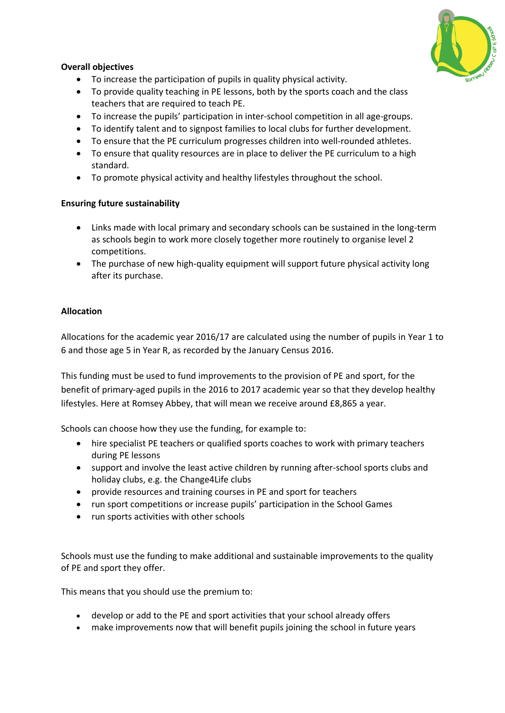

#### **Overall objectives**

- To increase the participation of pupils in quality physical activity.
- To provide quality teaching in PE lessons, both by the sports coach and the class teachers that are required to teach PE.
- To increase the pupils' participation in inter-school competition in all age-groups.
- To identify talent and to signpost families to local clubs for further development.
- To ensure that the PE curriculum progresses children into well-rounded athletes.
- To ensure that quality resources are in place to deliver the PE curriculum to a high standard.
- To promote physical activity and healthy lifestyles throughout the school.

#### **Ensuring future sustainability**

- Links made with local primary and secondary schools can be sustained in the long-term as schools begin to work more closely together more routinely to organise level 2 competitions.
- The purchase of new high-quality equipment will support future physical activity long after its purchase.

#### **Allocation**

Allocations for the academic year 2016/17 are calculated using the number of pupils in Year 1 to 6 and those age 5 in Year R, as recorded by the January Census 2016.

This funding must be used to fund improvements to the provision of PE and sport, for the benefit of primary-aged pupils in the 2016 to 2017 academic year so that they develop healthy lifestyles. Here at Romsey Abbey, that will mean we receive around £8,865 a year.

Schools can choose how they use the funding, for example to:

- hire specialist PE teachers or qualified sports coaches to work with primary teachers during PE lessons
- support and involve the least active children by running after-school sports clubs and holiday clubs, e.g. the [Change4Life](http://www.nhs.uk/change4life/pages/primary-schools-sports-clubs.aspx) clubs
- provide resources and training courses in PE and sport for teachers
- run sport competitions or increase pupils' participation in the School Games
- run sports activities with other schools

Schools must use the funding to make additional and sustainable improvements to the quality of PE and sport they offer.

This means that you should use the premium to:

- develop or add to the PE and sport activities that your school already offers
- make improvements now that will benefit pupils joining the school in future years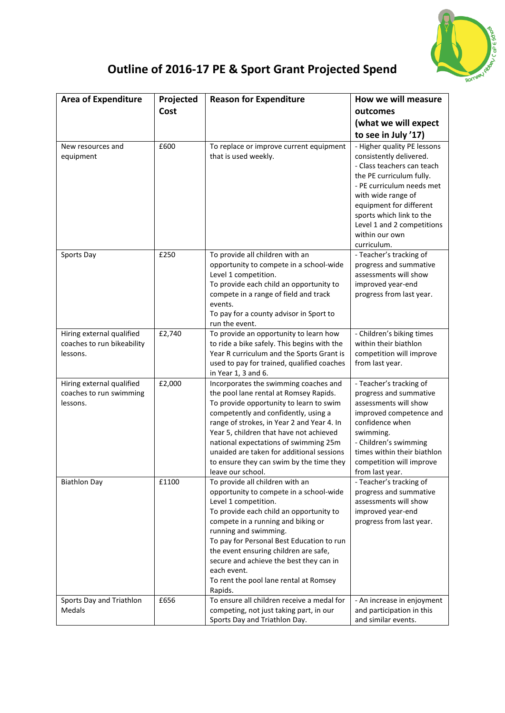

# **Outline of 2016-17 PE & Sport Grant Projected Spend**

| <b>Area of Expenditure</b>                                          | Projected | <b>Reason for Expenditure</b>                                                                                                                                                                                                                                                                                                                                                                                      | How we will measure                                                                                                                                                                                                                                                                       |
|---------------------------------------------------------------------|-----------|--------------------------------------------------------------------------------------------------------------------------------------------------------------------------------------------------------------------------------------------------------------------------------------------------------------------------------------------------------------------------------------------------------------------|-------------------------------------------------------------------------------------------------------------------------------------------------------------------------------------------------------------------------------------------------------------------------------------------|
|                                                                     | Cost      |                                                                                                                                                                                                                                                                                                                                                                                                                    | outcomes                                                                                                                                                                                                                                                                                  |
|                                                                     |           |                                                                                                                                                                                                                                                                                                                                                                                                                    | (what we will expect                                                                                                                                                                                                                                                                      |
|                                                                     |           |                                                                                                                                                                                                                                                                                                                                                                                                                    | to see in July '17)                                                                                                                                                                                                                                                                       |
| New resources and<br>equipment                                      | £600      | To replace or improve current equipment<br>that is used weekly.                                                                                                                                                                                                                                                                                                                                                    | - Higher quality PE lessons<br>consistently delivered.<br>- Class teachers can teach<br>the PE curriculum fully.<br>- PE curriculum needs met<br>with wide range of<br>equipment for different<br>sports which link to the<br>Level 1 and 2 competitions<br>within our own<br>curriculum. |
| Sports Day                                                          | £250      | To provide all children with an<br>opportunity to compete in a school-wide<br>Level 1 competition.<br>To provide each child an opportunity to<br>compete in a range of field and track<br>events.<br>To pay for a county advisor in Sport to<br>run the event.                                                                                                                                                     | - Teacher's tracking of<br>progress and summative<br>assessments will show<br>improved year-end<br>progress from last year.                                                                                                                                                               |
| Hiring external qualified<br>coaches to run bikeability<br>lessons. | £2,740    | To provide an opportunity to learn how<br>to ride a bike safely. This begins with the<br>Year R curriculum and the Sports Grant is<br>used to pay for trained, qualified coaches<br>in Year 1, 3 and 6.                                                                                                                                                                                                            | - Children's biking times<br>within their biathlon<br>competition will improve<br>from last year.                                                                                                                                                                                         |
| Hiring external qualified<br>coaches to run swimming<br>lessons.    | £2,000    | Incorporates the swimming coaches and<br>the pool lane rental at Romsey Rapids.<br>To provide opportunity to learn to swim<br>competently and confidently, using a<br>range of strokes, in Year 2 and Year 4. In<br>Year 5, children that have not achieved<br>national expectations of swimming 25m<br>unaided are taken for additional sessions<br>to ensure they can swim by the time they<br>leave our school. | - Teacher's tracking of<br>progress and summative<br>assessments will show<br>improved competence and<br>confidence when<br>swimming.<br>- Children's swimming<br>times within their biathlon<br>competition will improve<br>from last year.                                              |
| <b>Biathlon Day</b>                                                 | £1100     | To provide all children with an<br>opportunity to compete in a school-wide<br>Level 1 competition.<br>To provide each child an opportunity to<br>compete in a running and biking or<br>running and swimming.<br>To pay for Personal Best Education to run<br>the event ensuring children are safe,<br>secure and achieve the best they can in<br>each event.<br>To rent the pool lane rental at Romsey<br>Rapids.  | - Teacher's tracking of<br>progress and summative<br>assessments will show<br>improved year-end<br>progress from last year.                                                                                                                                                               |
| Sports Day and Triathlon<br>Medals                                  | £656      | To ensure all children receive a medal for<br>competing, not just taking part, in our<br>Sports Day and Triathlon Day.                                                                                                                                                                                                                                                                                             | - An increase in enjoyment<br>and participation in this<br>and similar events.                                                                                                                                                                                                            |